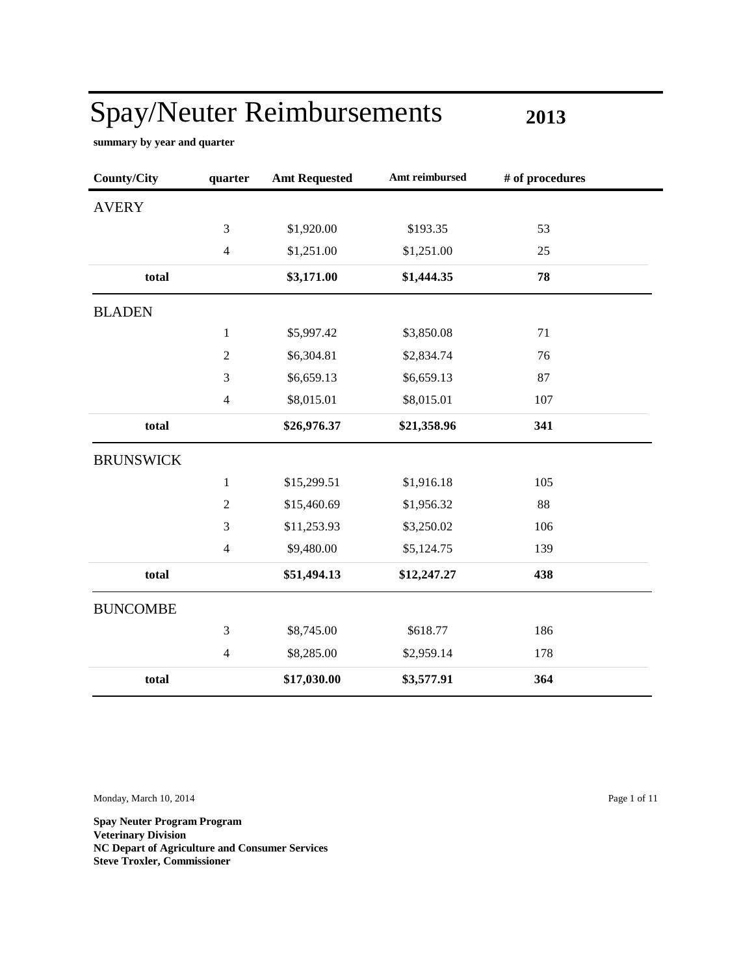**2013**

÷

**summary by year and quarter**

| <b>County/City</b> | quarter        | <b>Amt Requested</b> | Amt reimbursed | # of procedures |
|--------------------|----------------|----------------------|----------------|-----------------|
| <b>AVERY</b>       |                |                      |                |                 |
|                    | 3              | \$1,920.00           | \$193.35       | 53              |
|                    | $\overline{4}$ | \$1,251.00           | \$1,251.00     | 25              |
| total              |                | \$3,171.00           | \$1,444.35     | 78              |
| <b>BLADEN</b>      |                |                      |                |                 |
|                    | $\mathbf{1}$   | \$5,997.42           | \$3,850.08     | 71              |
|                    | $\overline{2}$ | \$6,304.81           | \$2,834.74     | 76              |
|                    | 3              | \$6,659.13           | \$6,659.13     | 87              |
|                    | $\overline{4}$ | \$8,015.01           | \$8,015.01     | 107             |
| total              |                | \$26,976.37          | \$21,358.96    | 341             |
| <b>BRUNSWICK</b>   |                |                      |                |                 |
|                    | $\mathbf{1}$   | \$15,299.51          | \$1,916.18     | 105             |
|                    | $\sqrt{2}$     | \$15,460.69          | \$1,956.32     | 88              |
|                    | 3              | \$11,253.93          | \$3,250.02     | 106             |
|                    | $\overline{4}$ | \$9,480.00           | \$5,124.75     | 139             |
| total              |                | \$51,494.13          | \$12,247.27    | 438             |
| <b>BUNCOMBE</b>    |                |                      |                |                 |
|                    | 3              | \$8,745.00           | \$618.77       | 186             |
|                    | $\overline{4}$ | \$8,285.00           | \$2,959.14     | 178             |
| total              |                | \$17,030.00          | \$3,577.91     | 364             |

Monday, March 10, 2014 Page 1 of 11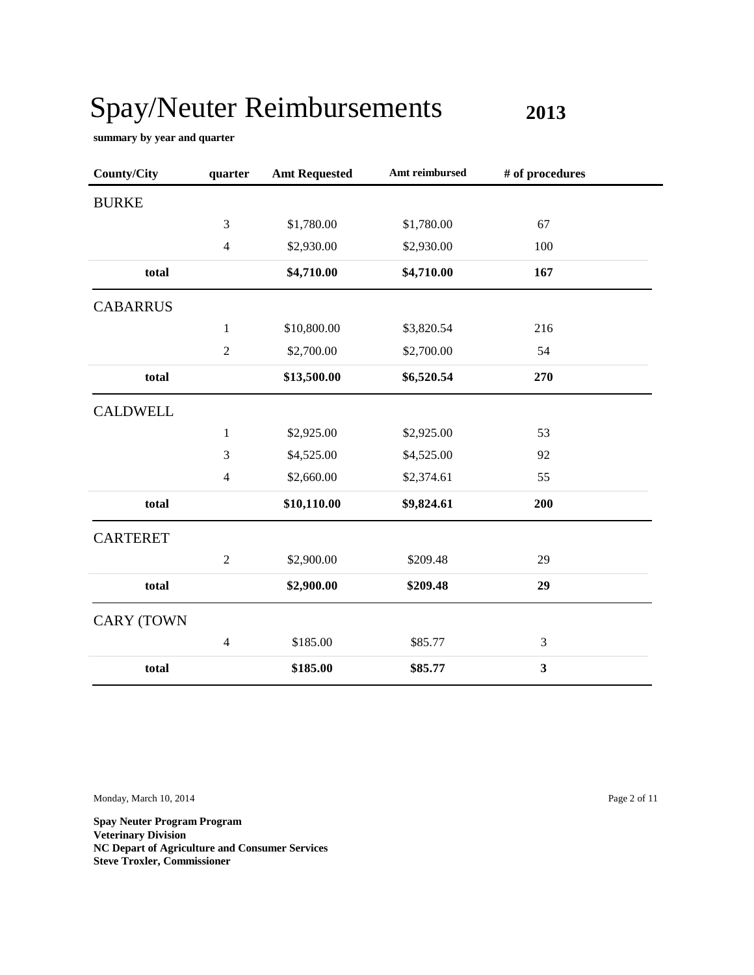**2013**

**summary by year and quarter**

| <b>County/City</b> | quarter        | <b>Amt Requested</b> | Amt reimbursed | # of procedures |  |
|--------------------|----------------|----------------------|----------------|-----------------|--|
| <b>BURKE</b>       |                |                      |                |                 |  |
|                    | 3              | \$1,780.00           | \$1,780.00     | 67              |  |
|                    | $\overline{4}$ | \$2,930.00           | \$2,930.00     | 100             |  |
| total              |                | \$4,710.00           | \$4,710.00     | 167             |  |
| <b>CABARRUS</b>    |                |                      |                |                 |  |
|                    | $\mathbf{1}$   | \$10,800.00          | \$3,820.54     | 216             |  |
|                    | $\overline{2}$ | \$2,700.00           | \$2,700.00     | 54              |  |
| total              |                | \$13,500.00          | \$6,520.54     | 270             |  |
| <b>CALDWELL</b>    |                |                      |                |                 |  |
|                    | $\mathbf{1}$   | \$2,925.00           | \$2,925.00     | 53              |  |
|                    | 3              | \$4,525.00           | \$4,525.00     | 92              |  |
|                    | $\overline{4}$ | \$2,660.00           | \$2,374.61     | 55              |  |
| total              |                | \$10,110.00          | \$9,824.61     | 200             |  |
| <b>CARTERET</b>    |                |                      |                |                 |  |
|                    | $\overline{2}$ | \$2,900.00           | \$209.48       | 29              |  |
| total              |                | \$2,900.00           | \$209.48       | 29              |  |
| <b>CARY (TOWN</b>  |                |                      |                |                 |  |
|                    | $\overline{4}$ | \$185.00             | \$85.77        | 3               |  |
| total              |                | \$185.00             | \$85.77        | 3               |  |

Monday, March 10, 2014 Page 2 of 11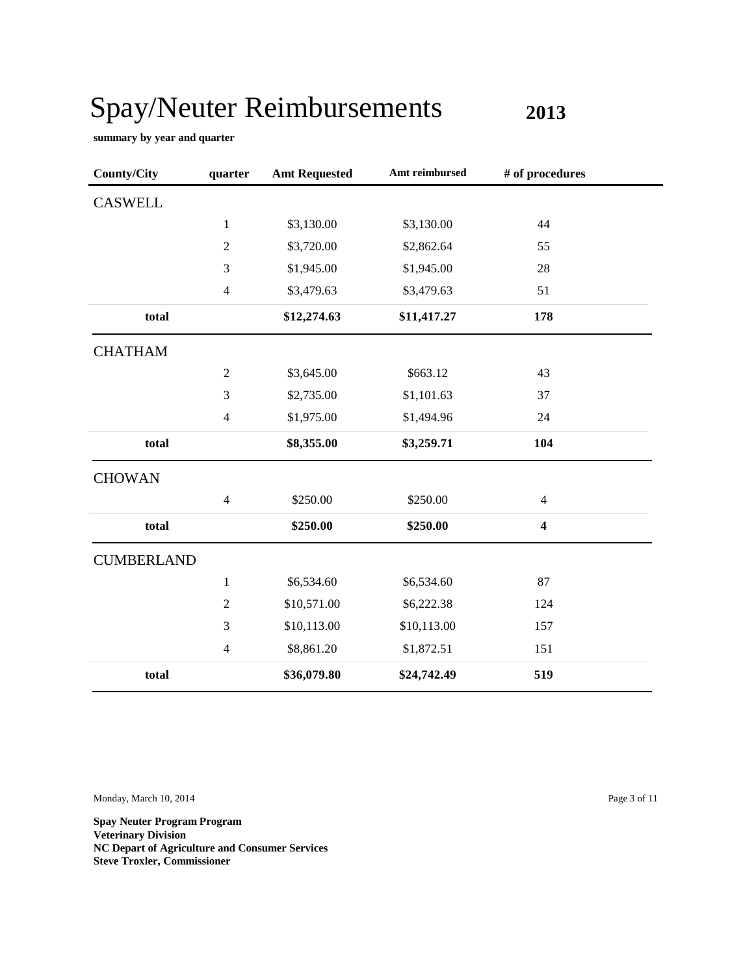**2013**

**summary by year and quarter**

| <b>County/City</b> | quarter                  | <b>Amt Requested</b> | Amt reimbursed | # of procedures         |  |
|--------------------|--------------------------|----------------------|----------------|-------------------------|--|
| <b>CASWELL</b>     |                          |                      |                |                         |  |
|                    | $\mathbf{1}$             | \$3,130.00           | \$3,130.00     | 44                      |  |
|                    | $\overline{2}$           | \$3,720.00           | \$2,862.64     | 55                      |  |
|                    | 3                        | \$1,945.00           | \$1,945.00     | 28                      |  |
|                    | $\overline{4}$           | \$3,479.63           | \$3,479.63     | 51                      |  |
| total              |                          | \$12,274.63          | \$11,417.27    | 178                     |  |
| <b>CHATHAM</b>     |                          |                      |                |                         |  |
|                    | $\sqrt{2}$               | \$3,645.00           | \$663.12       | 43                      |  |
|                    | 3                        | \$2,735.00           | \$1,101.63     | 37                      |  |
|                    | $\overline{4}$           | \$1,975.00           | \$1,494.96     | 24                      |  |
| total              |                          | \$8,355.00           | \$3,259.71     | 104                     |  |
| <b>CHOWAN</b>      |                          |                      |                |                         |  |
|                    | $\overline{4}$           | \$250.00             | \$250.00       | $\overline{4}$          |  |
| total              |                          | \$250.00             | \$250.00       | $\overline{\mathbf{4}}$ |  |
| <b>CUMBERLAND</b>  |                          |                      |                |                         |  |
|                    | $\mathbf{1}$             | \$6,534.60           | \$6,534.60     | 87                      |  |
|                    | $\overline{c}$           | \$10,571.00          | \$6,222.38     | 124                     |  |
|                    | 3                        | \$10,113.00          | \$10,113.00    | 157                     |  |
|                    | $\overline{\mathcal{L}}$ | \$8,861.20           | \$1,872.51     | 151                     |  |
| total              |                          | \$36,079.80          | \$24,742.49    | 519                     |  |

Monday, March 10, 2014 Page 3 of 11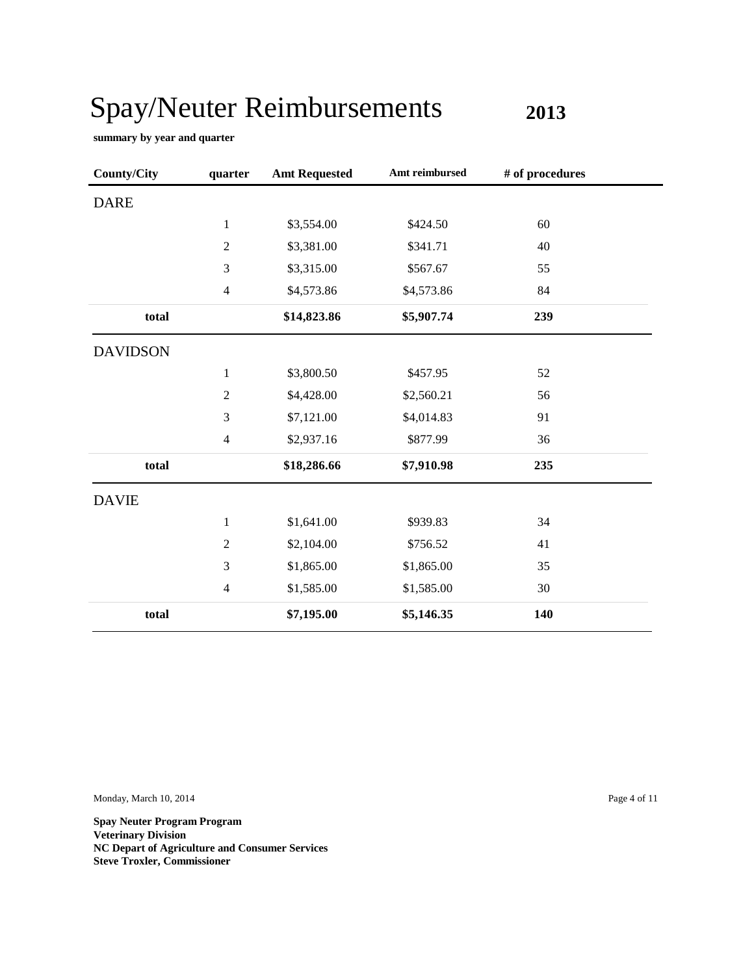**2013**

**summary by year and quarter**

| <b>County/City</b> | quarter        | <b>Amt Requested</b> | Amt reimbursed | # of procedures |  |
|--------------------|----------------|----------------------|----------------|-----------------|--|
| <b>DARE</b>        |                |                      |                |                 |  |
|                    | $\mathbf{1}$   | \$3,554.00           | \$424.50       | 60              |  |
|                    | 2              | \$3,381.00           | \$341.71       | 40              |  |
|                    | 3              | \$3,315.00           | \$567.67       | 55              |  |
|                    | $\overline{4}$ | \$4,573.86           | \$4,573.86     | 84              |  |
| total              |                | \$14,823.86          | \$5,907.74     | 239             |  |
| <b>DAVIDSON</b>    |                |                      |                |                 |  |
|                    | 1              | \$3,800.50           | \$457.95       | 52              |  |
|                    | $\sqrt{2}$     | \$4,428.00           | \$2,560.21     | 56              |  |
|                    | 3              | \$7,121.00           | \$4,014.83     | 91              |  |
|                    | $\overline{4}$ | \$2,937.16           | \$877.99       | 36              |  |
| total              |                | \$18,286.66          | \$7,910.98     | 235             |  |
| <b>DAVIE</b>       |                |                      |                |                 |  |
|                    | 1              | \$1,641.00           | \$939.83       | 34              |  |
|                    | $\overline{2}$ | \$2,104.00           | \$756.52       | 41              |  |
|                    | 3              | \$1,865.00           | \$1,865.00     | 35              |  |
|                    | $\overline{4}$ | \$1,585.00           | \$1,585.00     | 30              |  |
| total              |                | \$7,195.00           | \$5,146.35     | 140             |  |

Monday, March 10, 2014 Page 4 of 11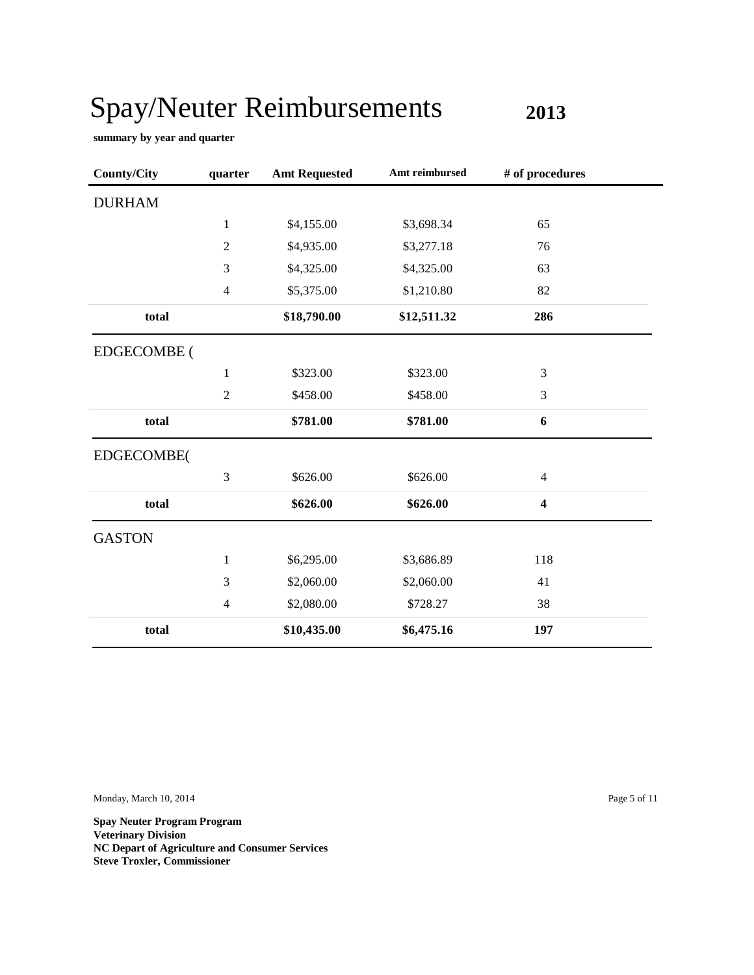**2013**

**summary by year and quarter**

| County/City        | quarter        | <b>Amt Requested</b> | Amt reimbursed | # of procedures         |  |
|--------------------|----------------|----------------------|----------------|-------------------------|--|
| <b>DURHAM</b>      |                |                      |                |                         |  |
|                    | $\mathbf{1}$   | \$4,155.00           | \$3,698.34     | 65                      |  |
|                    | $\sqrt{2}$     | \$4,935.00           | \$3,277.18     | 76                      |  |
|                    | 3              | \$4,325.00           | \$4,325.00     | 63                      |  |
|                    | 4              | \$5,375.00           | \$1,210.80     | 82                      |  |
| total              |                | \$18,790.00          | \$12,511.32    | 286                     |  |
| <b>EDGECOMBE</b> ( |                |                      |                |                         |  |
|                    | 1              | \$323.00             | \$323.00       | 3                       |  |
|                    | $\overline{c}$ | \$458.00             | \$458.00       | 3                       |  |
| total              |                | \$781.00             | \$781.00       | 6                       |  |
| EDGECOMBE(         |                |                      |                |                         |  |
|                    | 3              | \$626.00             | \$626.00       | $\overline{4}$          |  |
| total              |                | \$626.00             | \$626.00       | $\overline{\mathbf{4}}$ |  |
| <b>GASTON</b>      |                |                      |                |                         |  |
|                    | $\mathbf{1}$   | \$6,295.00           | \$3,686.89     | 118                     |  |
|                    | 3              | \$2,060.00           | \$2,060.00     | 41                      |  |
|                    | 4              | \$2,080.00           | \$728.27       | 38                      |  |
| total              |                | \$10,435.00          | \$6,475.16     | 197                     |  |

Monday, March 10, 2014 Page 5 of 11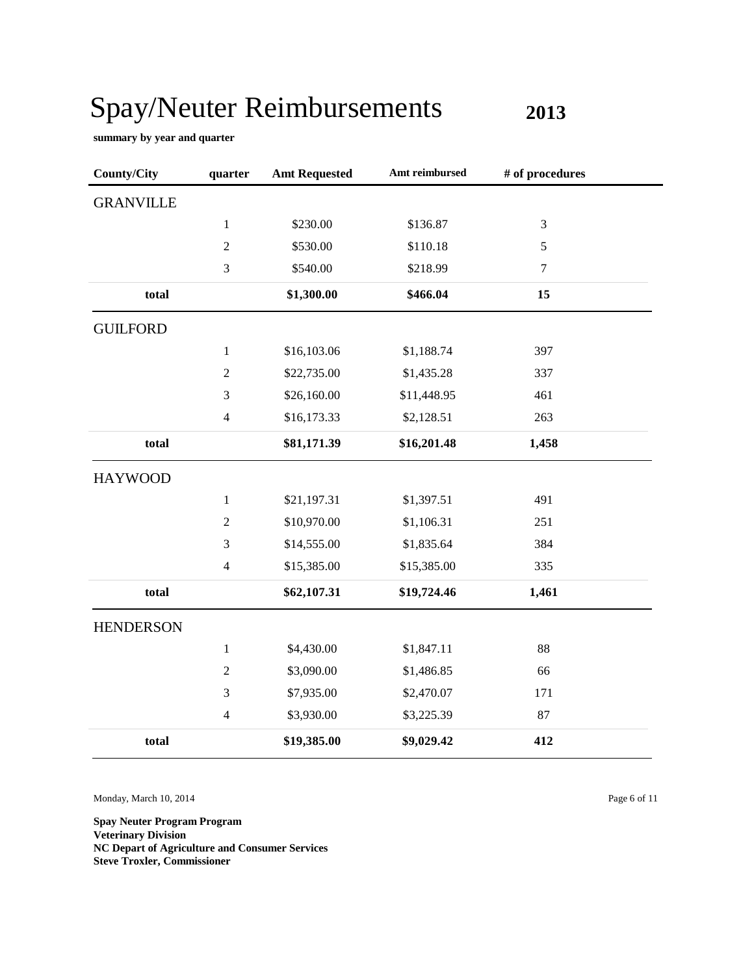**2013**

**summary by year and quarter**

| <b>County/City</b> | quarter        | <b>Amt Requested</b> | Amt reimbursed | # of procedures |  |
|--------------------|----------------|----------------------|----------------|-----------------|--|
| <b>GRANVILLE</b>   |                |                      |                |                 |  |
|                    | $\mathbf{1}$   | \$230.00             | \$136.87       | 3               |  |
|                    | $\sqrt{2}$     | \$530.00             | \$110.18       | 5               |  |
|                    | 3              | \$540.00             | \$218.99       | $\tau$          |  |
| total              |                | \$1,300.00           | \$466.04       | 15              |  |
| <b>GUILFORD</b>    |                |                      |                |                 |  |
|                    | $\mathbf{1}$   | \$16,103.06          | \$1,188.74     | 397             |  |
|                    | $\sqrt{2}$     | \$22,735.00          | \$1,435.28     | 337             |  |
|                    | 3              | \$26,160.00          | \$11,448.95    | 461             |  |
|                    | $\overline{4}$ | \$16,173.33          | \$2,128.51     | 263             |  |
| total              |                | \$81,171.39          | \$16,201.48    | 1,458           |  |
| <b>HAYWOOD</b>     |                |                      |                |                 |  |
|                    | $\mathbf{1}$   | \$21,197.31          | \$1,397.51     | 491             |  |
|                    | $\overline{c}$ | \$10,970.00          | \$1,106.31     | 251             |  |
|                    | 3              | \$14,555.00          | \$1,835.64     | 384             |  |
|                    | $\overline{4}$ | \$15,385.00          | \$15,385.00    | 335             |  |
| total              |                | \$62,107.31          | \$19,724.46    | 1,461           |  |
| <b>HENDERSON</b>   |                |                      |                |                 |  |
|                    | $\mathbf{1}$   | \$4,430.00           | \$1,847.11     | 88              |  |
|                    | $\overline{2}$ | \$3,090.00           | \$1,486.85     | 66              |  |
|                    | 3              | \$7,935.00           | \$2,470.07     | 171             |  |
|                    | $\overline{4}$ | \$3,930.00           | \$3,225.39     | 87              |  |
| total              |                | \$19,385.00          | \$9,029.42     | 412             |  |

Monday, March 10, 2014 Page 6 of 11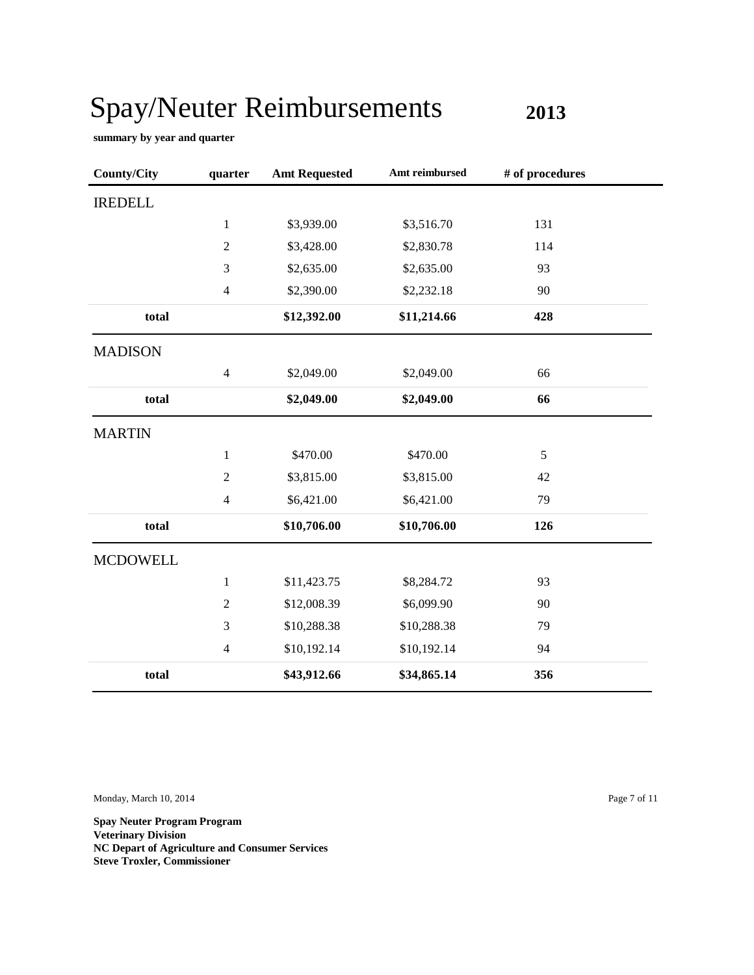**2013**

**summary by year and quarter**

| <b>County/City</b> | quarter                  | <b>Amt Requested</b> | Amt reimbursed | # of procedures |  |
|--------------------|--------------------------|----------------------|----------------|-----------------|--|
| <b>IREDELL</b>     |                          |                      |                |                 |  |
|                    | $\mathbf{1}$             | \$3,939.00           | \$3,516.70     | 131             |  |
|                    | $\overline{2}$           | \$3,428.00           | \$2,830.78     | 114             |  |
|                    | 3                        | \$2,635.00           | \$2,635.00     | 93              |  |
|                    | $\overline{4}$           | \$2,390.00           | \$2,232.18     | 90              |  |
| total              |                          | \$12,392.00          | \$11,214.66    | 428             |  |
| <b>MADISON</b>     |                          |                      |                |                 |  |
|                    | $\overline{4}$           | \$2,049.00           | \$2,049.00     | 66              |  |
| total              |                          | \$2,049.00           | \$2,049.00     | 66              |  |
| <b>MARTIN</b>      |                          |                      |                |                 |  |
|                    | $\mathbf{1}$             | \$470.00             | \$470.00       | 5               |  |
|                    | $\sqrt{2}$               | \$3,815.00           | \$3,815.00     | 42              |  |
|                    | $\overline{4}$           | \$6,421.00           | \$6,421.00     | 79              |  |
| total              |                          | \$10,706.00          | \$10,706.00    | 126             |  |
| <b>MCDOWELL</b>    |                          |                      |                |                 |  |
|                    | $\mathbf{1}$             | \$11,423.75          | \$8,284.72     | 93              |  |
|                    | $\overline{c}$           | \$12,008.39          | \$6,099.90     | 90              |  |
|                    | 3                        | \$10,288.38          | \$10,288.38    | 79              |  |
|                    | $\overline{\mathcal{L}}$ | \$10,192.14          | \$10,192.14    | 94              |  |
| total              |                          | \$43,912.66          | \$34,865.14    | 356             |  |

Monday, March 10, 2014 Page 7 of 11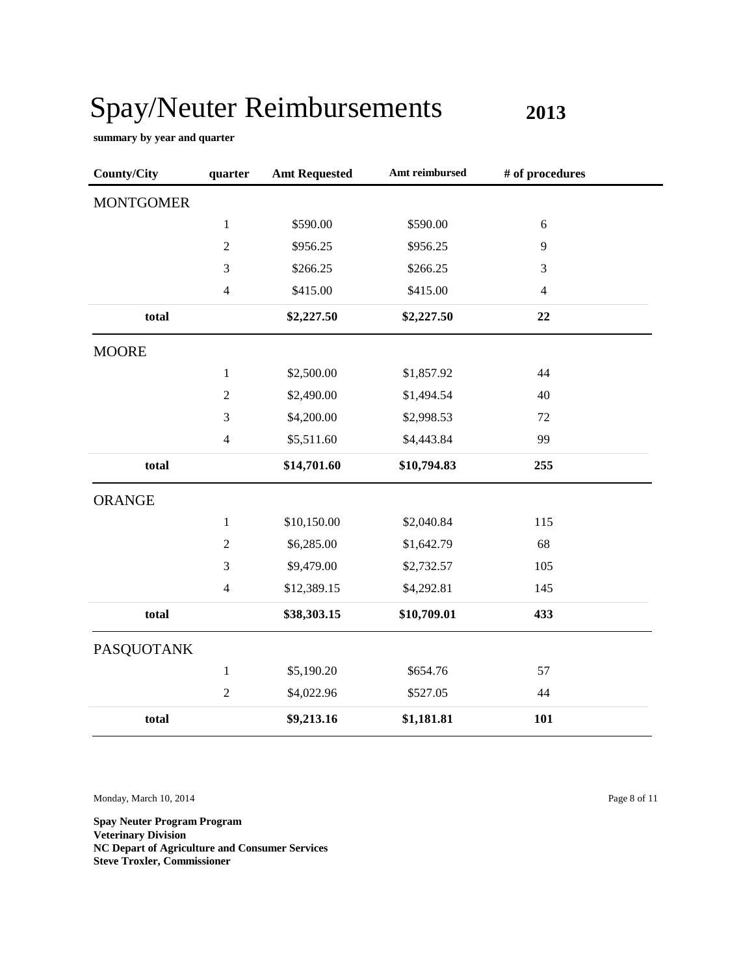**2013**

**summary by year and quarter**

| <b>County/City</b> | quarter        | <b>Amt Requested</b> | Amt reimbursed | # of procedures |
|--------------------|----------------|----------------------|----------------|-----------------|
| <b>MONTGOMER</b>   |                |                      |                |                 |
|                    | $\,1$          | \$590.00             | \$590.00       | 6               |
|                    | $\overline{2}$ | \$956.25             | \$956.25       | 9               |
|                    | 3              | \$266.25             | \$266.25       | 3               |
|                    | $\overline{4}$ | \$415.00             | \$415.00       | $\overline{4}$  |
| total              |                | \$2,227.50           | \$2,227.50     | 22              |
| <b>MOORE</b>       |                |                      |                |                 |
|                    | $\mathbf{1}$   | \$2,500.00           | \$1,857.92     | 44              |
|                    | $\overline{2}$ | \$2,490.00           | \$1,494.54     | 40              |
|                    | 3              | \$4,200.00           | \$2,998.53     | 72              |
|                    | $\overline{4}$ | \$5,511.60           | \$4,443.84     | 99              |
| total              |                | \$14,701.60          | \$10,794.83    | 255             |
| <b>ORANGE</b>      |                |                      |                |                 |
|                    | $\mathbf{1}$   | \$10,150.00          | \$2,040.84     | 115             |
|                    | $\sqrt{2}$     | \$6,285.00           | \$1,642.79     | 68              |
|                    | 3              | \$9,479.00           | \$2,732.57     | 105             |
|                    | $\overline{4}$ | \$12,389.15          | \$4,292.81     | 145             |
| total              |                | \$38,303.15          | \$10,709.01    | 433             |
| <b>PASQUOTANK</b>  |                |                      |                |                 |
|                    | $\,1$          | \$5,190.20           | \$654.76       | 57              |
|                    | $\sqrt{2}$     | \$4,022.96           | \$527.05       | 44              |
| total              |                | \$9,213.16           | \$1,181.81     | 101             |

Monday, March 10, 2014 Page 8 of 11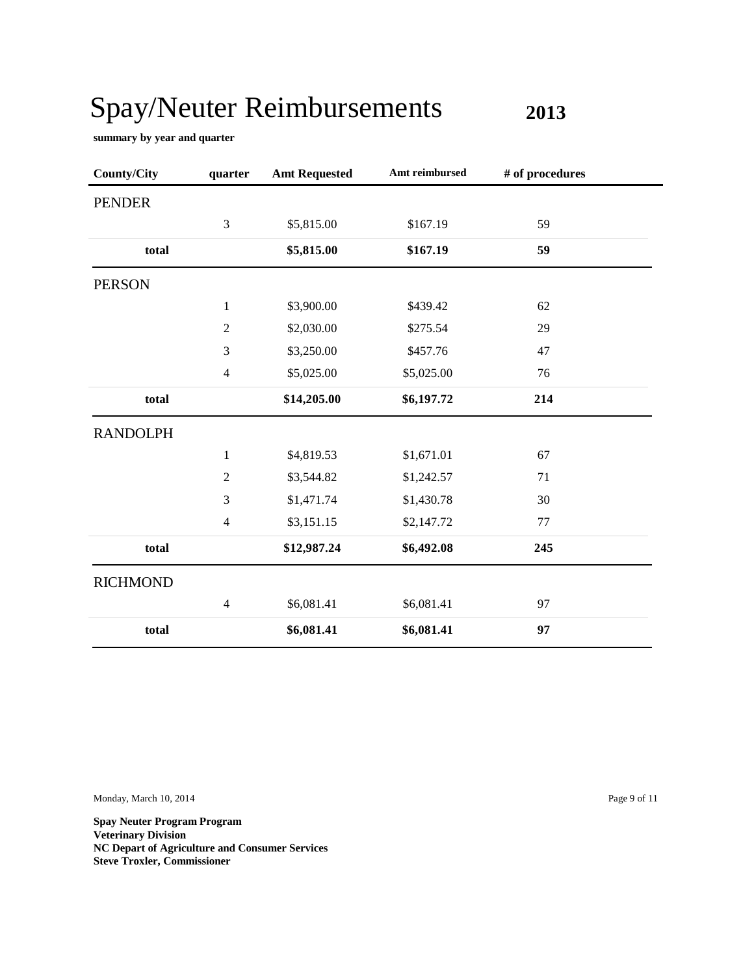**2013**

a.

**summary by year and quarter**

| <b>County/City</b> | quarter        | <b>Amt Requested</b> | Amt reimbursed | # of procedures |
|--------------------|----------------|----------------------|----------------|-----------------|
| <b>PENDER</b>      |                |                      |                |                 |
|                    | 3              | \$5,815.00           | \$167.19       | 59              |
| total              |                | \$5,815.00           | \$167.19       | 59              |
| <b>PERSON</b>      |                |                      |                |                 |
|                    | $\mathbf{1}$   | \$3,900.00           | \$439.42       | 62              |
|                    | $\mathfrak{2}$ | \$2,030.00           | \$275.54       | 29              |
|                    | 3              | \$3,250.00           | \$457.76       | 47              |
|                    | $\overline{4}$ | \$5,025.00           | \$5,025.00     | 76              |
| total              |                | \$14,205.00          | \$6,197.72     | 214             |
| <b>RANDOLPH</b>    |                |                      |                |                 |
|                    | $\mathbf{1}$   | \$4,819.53           | \$1,671.01     | 67              |
|                    | $\sqrt{2}$     | \$3,544.82           | \$1,242.57     | 71              |
|                    | 3              | \$1,471.74           | \$1,430.78     | 30              |
|                    | $\overline{4}$ | \$3,151.15           | \$2,147.72     | 77              |
| total              |                | \$12,987.24          | \$6,492.08     | 245             |
| <b>RICHMOND</b>    |                |                      |                |                 |
|                    | $\overline{4}$ | \$6,081.41           | \$6,081.41     | 97              |
| total              |                | \$6,081.41           | \$6,081.41     | 97              |

Monday, March 10, 2014 Page 9 of 11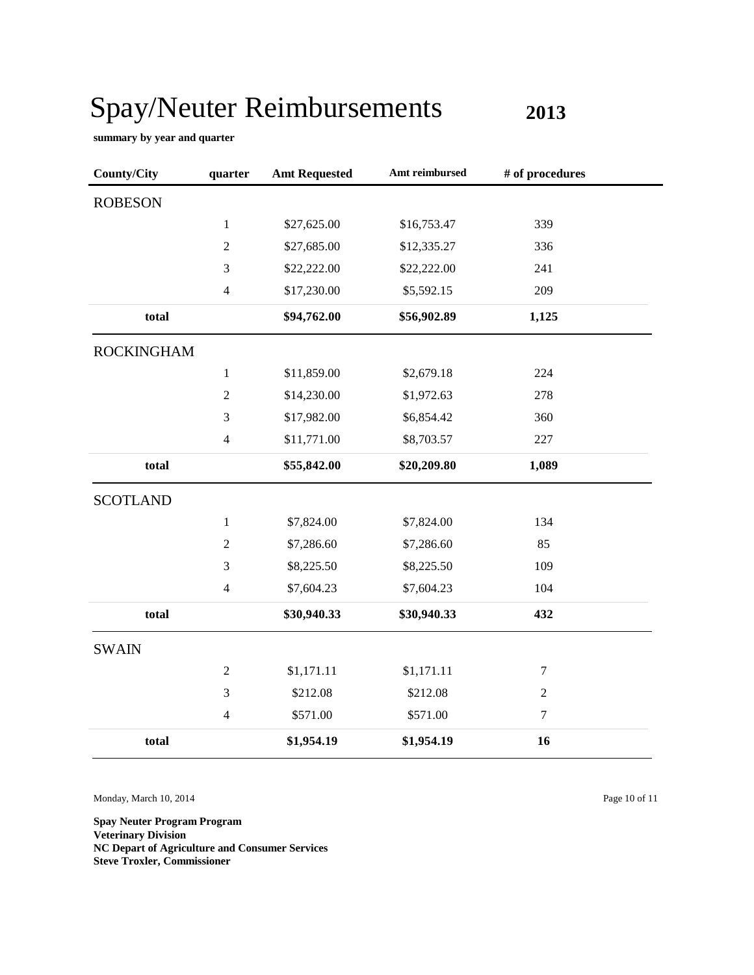**2013**

**summary by year and quarter**

| <b>County/City</b> | quarter        | <b>Amt Requested</b> | Amt reimbursed | # of procedures  |
|--------------------|----------------|----------------------|----------------|------------------|
| <b>ROBESON</b>     |                |                      |                |                  |
|                    | $\mathbf{1}$   | \$27,625.00          | \$16,753.47    | 339              |
|                    | $\overline{2}$ | \$27,685.00          | \$12,335.27    | 336              |
|                    | 3              | \$22,222.00          | \$22,222.00    | 241              |
|                    | $\overline{4}$ | \$17,230.00          | \$5,592.15     | 209              |
| total              |                | \$94,762.00          | \$56,902.89    | 1,125            |
| <b>ROCKINGHAM</b>  |                |                      |                |                  |
|                    | $1\,$          | \$11,859.00          | \$2,679.18     | 224              |
|                    | $\overline{2}$ | \$14,230.00          | \$1,972.63     | 278              |
|                    | 3              | \$17,982.00          | \$6,854.42     | 360              |
|                    | $\overline{4}$ | \$11,771.00          | \$8,703.57     | 227              |
| total              |                | \$55,842.00          | \$20,209.80    | 1,089            |
| <b>SCOTLAND</b>    |                |                      |                |                  |
|                    | $1\,$          | \$7,824.00           | \$7,824.00     | 134              |
|                    | $\sqrt{2}$     | \$7,286.60           | \$7,286.60     | 85               |
|                    | 3              | \$8,225.50           | \$8,225.50     | 109              |
|                    | $\overline{4}$ | \$7,604.23           | \$7,604.23     | 104              |
| total              |                | \$30,940.33          | \$30,940.33    | 432              |
| <b>SWAIN</b>       |                |                      |                |                  |
|                    | $\mathbf{2}$   | \$1,171.11           | \$1,171.11     | $\boldsymbol{7}$ |
|                    | 3              | \$212.08             | \$212.08       | $\sqrt{2}$       |
|                    | $\overline{4}$ | \$571.00             | \$571.00       | $\tau$           |
| total              |                | \$1,954.19           | \$1,954.19     | 16               |

Monday, March 10, 2014 Page 10 of 11